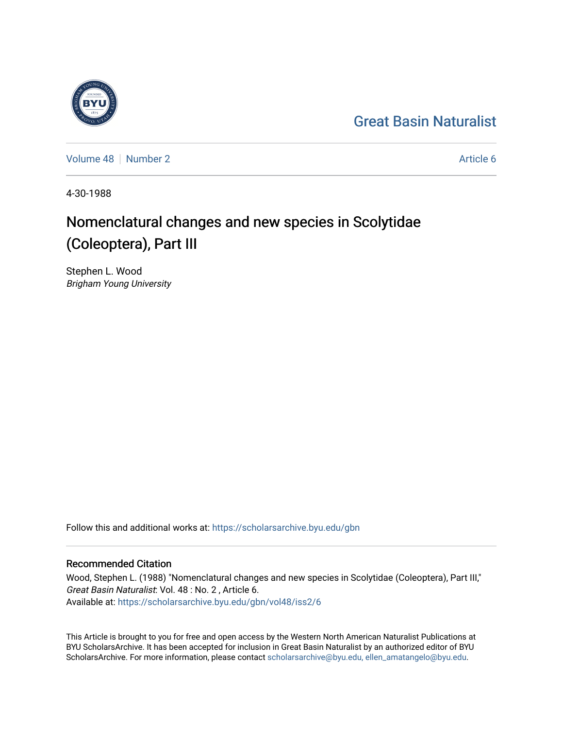## [Great Basin Naturalist](https://scholarsarchive.byu.edu/gbn)

[Volume 48](https://scholarsarchive.byu.edu/gbn/vol48) [Number 2](https://scholarsarchive.byu.edu/gbn/vol48/iss2) Article 6

4-30-1988

# Nomenclatural changes and new species in Scolytidae (Coleoptera), Part III

Stephen L. Wood Brigham Young University

Follow this and additional works at: [https://scholarsarchive.byu.edu/gbn](https://scholarsarchive.byu.edu/gbn?utm_source=scholarsarchive.byu.edu%2Fgbn%2Fvol48%2Fiss2%2F6&utm_medium=PDF&utm_campaign=PDFCoverPages) 

## Recommended Citation

Wood, Stephen L. (1988) "Nomenclatural changes and new species in Scolytidae (Coleoptera), Part III," Great Basin Naturalist: Vol. 48 : No. 2 , Article 6. Available at: [https://scholarsarchive.byu.edu/gbn/vol48/iss2/6](https://scholarsarchive.byu.edu/gbn/vol48/iss2/6?utm_source=scholarsarchive.byu.edu%2Fgbn%2Fvol48%2Fiss2%2F6&utm_medium=PDF&utm_campaign=PDFCoverPages)

This Article is brought to you for free and open access by the Western North American Naturalist Publications at BYU ScholarsArchive. It has been accepted for inclusion in Great Basin Naturalist by an authorized editor of BYU ScholarsArchive. For more information, please contact [scholarsarchive@byu.edu, ellen\\_amatangelo@byu.edu.](mailto:scholarsarchive@byu.edu,%20ellen_amatangelo@byu.edu)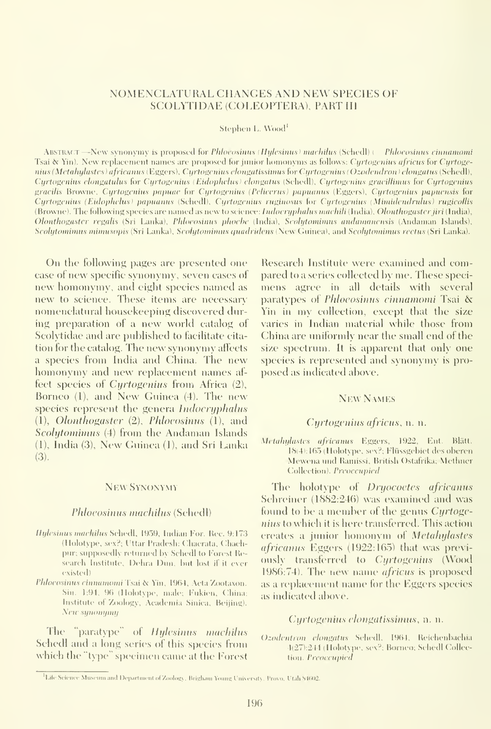## NOMENCLATURAL CHANGES AND NEW SPECIES OF SCOLYTIDAE (COLEOPTERA), PART III

Stephen L. Wood<sup>1</sup>

ABSTRACT —New synonymy is proposed for Phloeosinus (Hylesinus) machilus (Schedl) ( Phloeosinus cinnamomi Tsai  $\&$  Yin). New replacement names are proposed for junior homonyms as follows: Cyrtogenius africus for Cyrtogenius (Metahylastes) africanus (Eggers), Cyrtogenius elongatissimus for Cyrtogenius (Ozodendron) elongatus (Schedl), Cyrtogenius elongatulus for Cyrtogenius (Eidophclus) elongatus (Schedl), Cyrtogenius gracillimus for Cyrtogenius gracilis Browne, Cyrtogenius papuae for Cyrtogenius (Pelicerus) papuanus (Eggers), Cyrtogenius papuensis for Cyrtogenius (Eidophclus) papuanus (Schedl), Cyrtogenius ruginosus for Cyrtogenius (Mimidendrulus) rugicollis (Browne). The following species are named as new to science: *Indocryphahis machili* (India), *Olonthogaster jiri* (India), Olonthogaster regalis (Sri Lanka), Phloeosinus phoebe (India), Scolytomimus andamanensis (Andaman Islands), Scolytominus mimusopis (Sri Lanka), Scolytomimus quadridens (New Guinea), and Scolytomimus rectus (Sri Lanka).

On the following pages are presented one case of new specific synonymy, seven cases of new homonymy, and eight species named as new to science. These items are necessary nomenclatural housekeeping discovered during preparation of a new world catalog of Scolytidae and are published to facilitate cita tion for the catalog. The new synonymy affects <sup>a</sup> species from India and China. The new homonymy and new replacement names af fect species of Cyrtogenius from Africa (2), Borneo (1), and New Guinea (4). The new species represent the genera Indocryphalus (1), Olonthogaster (2), Phloeosinus (1), and Scolytomimus (4) from the Andaman Islands (1), India (3), New Guinea (1), and Sri Lanka (3).

## New Synonymy

#### Phloeosinus machilus (Schedl)

- Hylesinus machilus Schedl, 1959, Indian For. Rec. 9:173 (Holotype, sex?; Uttar Pradesh: Chacrata, Chachpur; supposedly returned by Schedl to Forest Research Institute, Dehra Dun, hut lost if it ever existed)
- Phloeosinus cinnamomi Tsai & Yin, 1964, Aeta Zootaxon. Sin. 1:94, 96 (Holotype, male; Fukien, China; Institute of Zoology, Academia Sinica, Beijing). New synonymy

The "paratype" of Hylcsinus machilus Schedl and a long series of this species from which the "type" specimen came at the Forest

Research Institute were examined and compared to a series collected by me. These specimens agree in all details with several paratypes of Phloeosinus cinnamomi Tsai & Yin in my collection, except that the size varies in Indian material while those from China are uniformly near the small end of the size spectrum. It is apparent that only one species is represented and synonymy is proposed as indicated above.

## New Names

#### Cyrtogenius africus, n. n.

Metahylastes africanus Eggers, 1922, Ent. Blätt. 18(4); 165 (Holotype. sex?; Fliissgehiet dcs ohcren Mewena und Ramissi, British Ostafrika; Methner Collection). Preoccupied

The holotype of Dryocoetes africanus Schreiner (1882:246) was examined and was found to be a member of the genus Curtogenius to which it is here transferred. This action creates a junior homonym of Metahylastes  $africamus$  Eggers (1922:165) that was previously transferred to Cyrtogenius (Wood 1986:74). The ricw name africus is proposed as a replacement name for the Eggers species as indicated above.

## Cyrtogenius elongatissimus, n. n.

()zodentron elongatus Schedl, 1964, Reichenbachia 4(27):244 (Holotvpe, sex?; Borneo; Schedl Collection. Preoccnpicd

<sup>&</sup>lt;sup>1</sup>Life Science Museum and Department of Zoology. Brigham Young University, Provo, Utah 84602.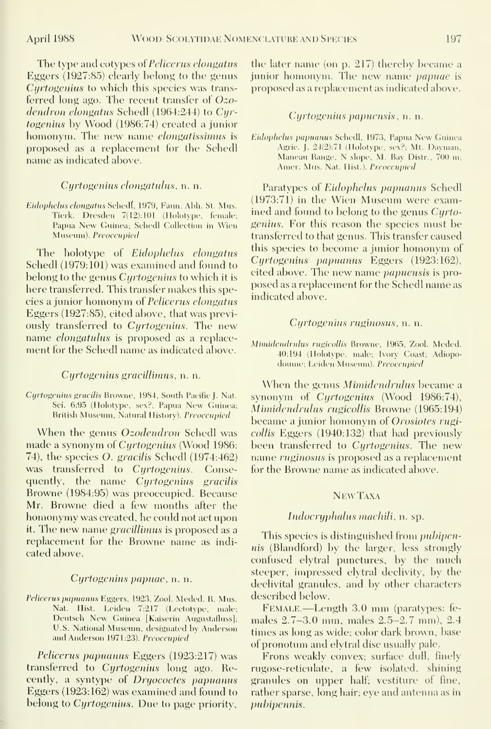The type and cotypes of Pelicerus elongatus Eggers (1927:85) clearly belong to the genus Cyrtogenius to which this species was trans ferred long ago. The recent transfer of Ozodendron elongatus Schedl (1964:244) to Cyrtogenius by Wood (1986:74) created <sup>a</sup> junior homonym. The new name *elongatissimus* is proposed as a replacement for the Schedl name as indicated above.

## Cyrtogenius elongatulus, n. n.

Eidophelus elongatus Schedl, 1979, Faun. Abh. St. Mus. Tierk. Dresden 7(12); 101 (Holotype, female; Papua New Guinea; Schedl Collection in Wien Museum). Preoccupied

The holotype of Eidophelus elongatus Schedl (1979:101) was examined and found to belong to the genus *Cyrtogenius* to which it is here transferred. This transfer makes this species <sup>a</sup> junior homonym of Pelicerus elongatus Eggers (1927:85), cited above, that was previously transferred to Cyrtogenius. The new name elongatulus is proposed as a replacement for the Schedl name as indicated above.

#### Cyrtogenius graciUimus, n. n.

Cyrtogenius gracilis Browne, 1984, South Pacific J. Nat. Sci. 6:95 (Holotype, sex?; Papua New Guinea; British Museum, Natural History). Preoccupied

When the genus *Ozodendron* Schedl was made a synonym of Cyrtogenius (Wood 1986: 74), the species O. gracilis Schedl (1974:462) was transferred to Cyrtogenius. Consequently, the name Cyrtogenius gracilis Browne (1984:95) was preoccupied. Because Mr. Browne died a few months after the homonymy was created, he could not act upon it. The new name gracillimus is proposed as <sup>a</sup> replacement for the Browne name as indi cated above.

#### Cyrtogenius papuae, n. n.

Pelicerus papuanus Eggers, 1923, Zool. Meded. R. Mus. Nat. Hist. Leiden 7:217 (Lectotype, male; Deutsch New Guinea [Kaiserin Augustafluss]; U.S. National Museum, designated by Anderson and Anderson 1971:23). Preoccupied

Pelicerus papuanus Eggers (1923:217) was transferred to Cyrtogenius long ago. Recently, a syntype of Dryocoetes papuanus Eggers (1923:162) was examined and found to belong to *Cyrtogenius*. Due to page priority,

the later name (on p. 217) thereby became a junior homonym. The new name papuae isproposed as a replacement as indicated above.

#### Cyrtogenius papuensis, n. n.

Eidophelus papuanus Schedl, 1973, Papua New Guinea Agrie. J. 24(2):71 (Holotype, sex?; Mt. Dayman, Maneau Range, N slope, M. Bay Distr., 700 ni; Amer. Mus. Nat. Hist.). Preoccupied

Paratypes of Eidophelus papuanus Schedl (1973:71) in the Wien Museum were examined and found to belong to the genus Cyrtogenius. For this reason the species must be transferred to that genus. This transfer caused this species to become <sup>a</sup> junior homonym of Cyrtogenius papuanus Eggers (1923:162), cited above. The new name *papuensis* is proposed as a replacement for the Schedl name as indicated above.

#### Cyrtogenius ruginosus, n. n.

Mimidendrulus rugicollis Browne, 1965, Zool. Meded. 40:194 (Holotype, male; Ivory Coast; Adiopodoiune; Leiden Museum). Preoccupied

When the genus Mimidendrulus became <sup>a</sup> synonym of Cyrtogenius (Wood 1986:74), Mimidendrulus rugicollis Browne (1965:194) became a junior homonym of Orosiotes rugicollis Eggers (1940:132) that had previously been transferred to Cyrtogenius. The new name ruginosus is proposed as a replacement for the Browne name as indicated above.

## NewTaxa

#### Indocryphalus machili, n. sp.

This species is distinguished from *pubipen*nis (Blandford) by the larger, less strongly confused elytral punctures, by the much steeper, impressed elytral declivity, by the declivital granules, and by other characters described below.

Female.—Length 3.0 mm (paratypes: fe males 2.7-3.0 mm, males 2.5-2.7 mm), 2.4 times as long as wide; color dark brown, base of pronotum and elytral disc usually pale.

Frons weakly convex; surface dull, finely rugose-reticulate, a few isolated, shining granules on upper half; vestitiue of fine, rather sparse, long hair; eye and antenna as in pubipennis.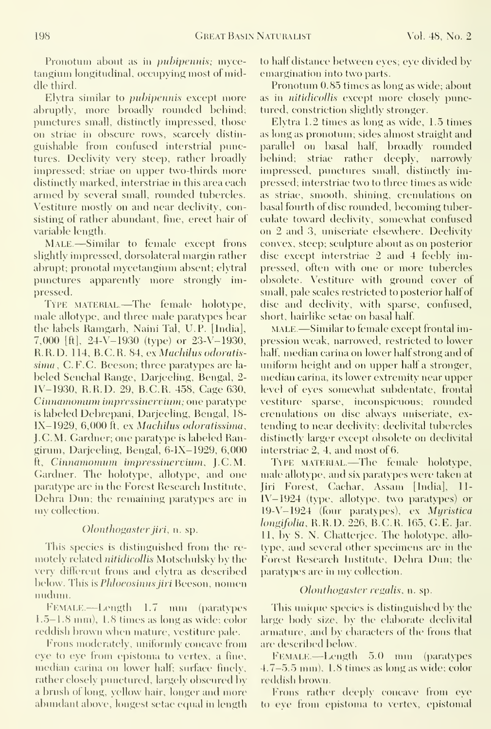Pronotum about as in *pubipennis*; mycetangium longitudinal, occupying most of middle third.

Elytra similar to pubipennis except more abruptly, more broadly rounded behind; punctures small, distinctly impressed, those on striae in obscure rows, scarcely distin guishable from confused interstrial punctures. Declivity very steep, rather broadly impressed; striae on upper two-thirds more distinctly marked, interstriae in this area each armed by several small, rounded tubercles. Vestiture mostly on and near declivity, consisting of rather abundant, fine, erect hair of variable length.

Male.—Similar to female except frons slightly impressed, dorsolateral margin rather abrupt; pronotal mycetangium absent; elytral punctures apparently more strongly impressed.

Type material.—The female holotype, male allotype, and three male paratypes bear the labels' Ramgarh, Naini Tal, U.P. [India], 7,000 [ft], 24-V-1930 (type) or 23-V-1930, R.R.D. 114, B.C.R. 84, ex Machilus odoratissima, C.F.C. Beeson; three paratypes are la beled Senchal Range, Darjeeling, Bengal, 2- IV-1930, R.R.D. 29, B.C.R. 458, Cage 630, Cinnamomum impressinervium; one paratype is labeled Debrepani, Darjeeling, Bengal, 18- IX-1929, 6,000 ft, ex Machilus odoratissima, J. C. M. Gardner; one paratype is labeled Rangirum, Darjeeling, Bengal, 6-IX-1929, 6,000 ft, Cinnamomum impressinervium, J.C.M. Gardner. The holotype, allotype, and one paratype are in the Forest Research Institute, Dehra Dun; the remaining paratypes are in my collection.

## Olonthogaster jiri, n. sp.

This species is distinguished from the re motely related nitidicollis Motschulsky by the very different frons and elytra as described below. This is *Phloeosinus jiri* Beeson, nomen nudum.

FEMALE.—Length 1.7 mm (paratypes 1.5-1.8 mm), 1.8 times as long as wide; color reddish brown when mature, vestiture pale.

Frons moderately, uniformly concave from eye to eye from epistoma to vertex, a fine, median carina on lower half; sinface finely, rather closely punctured, largely obscured by a brush of long, yellow hair, longer and more abundant above, longest setae ecjual in length to half distance between eyes; eye divided by emargination into two parts.

Pronotum 0.85 times as long as wide; about as in nitidicollis except more closely punctured, constriction slightly stronger.

Elytra  $1.2$  times as long as wide,  $1.5$  times as long as pronotum; sides almost straight and parallel on basal half, broadly rounded behind; striae rather deeply, narrowly impressed, punctures small, distinctly impressed; interstriae two to three times as wide as striae, smooth, shining, crenulations on basal fourth of disc rounded, becoming tuberculate toward decli\'ity, somewhat confused on 2 and 3, uniseriate elsewhere. Declivity convex, steep; sculpture about as on posterior disc except interstriae 2 and 4 feebly impressed, often with one or more tubercles obsolete. Vestiture with ground cover of small, pale scales restricted to posterior half of disc and declivity, with sparse, confused, short, hairlike setae on basal half.

MALE.—Similar to female except frontal impression weak, narrowed, restricted to lower half, median carina on lower half strong and of uniform height and on upper half a stronger, median carina, its lower extremity near upper level of eyes somewhat subdentate, frontal vestiture sparse, inconspicuous; rounded crenulations on disc always uniseriate, ex tending to near declivity; declivital tubercles distinctly larger except obsolete on declivital interstriae 2, 4, and most of 6.

TYPE MATERIAL.—The female holotype, male allotype, and six paratypes were taken at Jiri Forest, (Jachar, Assam [India], II- IV-1924 (type, allotype, two paratypes) or 19-V-1924 (four paratypes), ex Myristica longifoha, R.R.D. 226, B.C.R. 165, G.E. Jar. 11, by S. N. Chatterjee. The holotype, allotype, and several other specimens are in the Forest Research Institute, Dehra Dun; the paratypes are in my collection.

## Olonthogaster regalis, n. sp.

This unique species is distinguished by the large body size, by the elaborate declivital armature, and by characters of the frons that are described below

FEMALE.—Length 5.0 mm (paratypes 4.7-5.5 mm), 1.8 times as long as wide; color reddish biown.

Frons rather deeply concave from eye to eye from epistoma to vertex, epistomal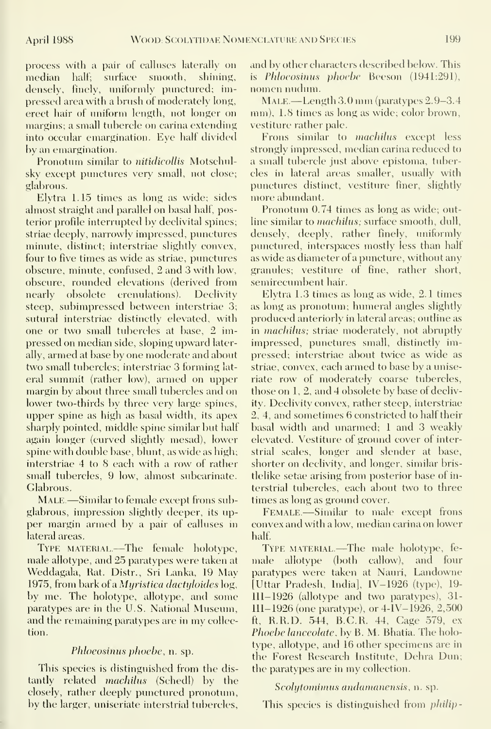process with a pair of calluses laterally on median half; surface smooth, shining, densely, finely, uniformly punctured; impressed area with a brush of moderately long, erect hair of uniform length, not longer on margins; a small tubercle on carina extending into occular emargination. Eye half divided by an emargination.

Pronotum similar to nitidicollis Motschulsky except punctures very small, not close; glabrous.

Elytra 1.15 times as long as wide; sides almost straight and parallel on basal half, posterior profile interrupted by declivital spines; striae deeply, narrowly impressed, punctures minute, distinct; interstriae slightly convex, four to five times as wide as striae, punctures obscure, minute, confused, 2 and 3 with low, obscure, rounded elevations (derived from nearly obsolete crenulations). Declivity steep, subimpressed between interstriae 3; sutural interstriae distinctly elevated, with one or two small tubercles at base, 2 impressed on median side, sloping upward laterally, armed at base by one moderate and about two small tubercles; interstriae 3 forming lat eral summit (rather low), armed on upper margin by about three small tubercles and on lower two-thirds by three very large spines, upper spine as high as basal width, its apex sharply pointed, middle spine similar but half again longer (curved slightly mesad), lower spine with double base, blunt, as wide as high; interstriae 4 to 8 each with a row of rather small tubercles, 9 low, almost subcarinate. Glabrous.

MALE.—Similar to female except frons subglabrous, impression slightly deeper, its up per margin armed by a pair of calluses in lateral areas.

TYPE MATERIAL.—The female holotype, male allotype, and 25 paratypes were taken at Weddagala, Rat. Distr., Sri Lanka, 19 May 1975, from bark of a Myristica dactyloidcs log, by me. The holotype, allotype, and some paratypes are in the U.S. National Museum, and the remaining paratypes are in my collection.

## Phloeosinus phoebe, n. sp.

This species is distinguished from the dis tantly related machilus (Schedl) by the closely, rather deeply punctured pronotum, by the larger, uniseriate interstrial tubercles, and by other characters described below. This is Phloeosinus phoebe Beeson (1941:291), nomen nudum.

Male.—Length 3.0 mm (paratypes 2.9-3.4 mm), 1.8 times as long as wide; color brown, vestiture rather pale.

Frons similar to *machilus* except less strongly impressed, median carina reduced to a small tubercle just above epistoma, tubercles in lateral areas smaller, usually with punctures distinct, vestiture finer, slightly more abundant.

Pronotum 0.74 times as long as wide; outline similar to *machilus*; surface smooth, dull, densely, deeply, rather finely, uniformly punctured, interspaces mostly less than half as wide as diameter of a puncture, without any granules; vestiture of fine, rather short, semirecumbent hair.

Elytra 1.3 times as long as wide, 2.1 times as long as pronotum; humeral angles slightly produced anteriorly in lateral areas; outline as in *machilus*; striae moderately, not abruptly impressed, punctures small, distinctly impressed; interstriae about twice as wide as striae, convex, each armed to base by a uniseriate row of moderately coarse tubercles, those on 1, 2, and 4 obsolete by base of declivity. Declivity convex, rather steep, interstriae 2, 4, and sometimes 6 constricted to half their basal width and unarmed; <sup>1</sup> and 3 weakly elevated. Vestiture of ground cover of interstrial scales, longer and slender at base, shorter on declivity, and longer, similar bristlelike setae arising from posterior base of in terstrial tubercles, each about two to three times as long as ground cover.

FEMALE.—Similar to male except frons convex and with a low, median carina on lower half.

TYPE MATERIAL.—The male holotype, female allotype (both callow), and four paratvpes were taken at Nauri, Landowne [Uttar Pradesh, India], IV-1926 (type), 19- III- 1926 (allotvpe and two paratvpes), 31- III-1926 (one paratype), or 4-IV-1926, 2,500 ft, R.R.D. 544, B.C.R. 44, Cage 579, ex Phoebe lanceolate, by B. M. Bhatia. The holotype, allotype, and 16 other specimens are in the Forest Research Institute, Dehra Dun; the paratypes are in my collection.

#### Scolytomimus andamanensis, n. sp.

This species is distinguished from philip-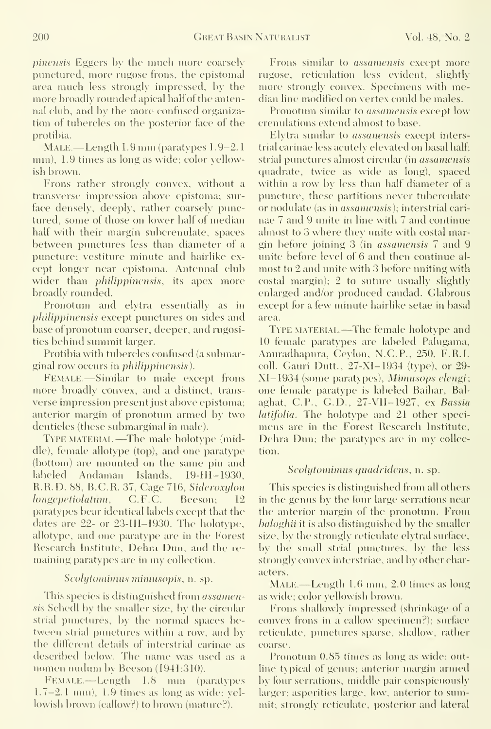pinensis Eggers by the much more coarsely punctured, more rugose frons, the epistomal area much less strongly impressed, by the more broadly rounded apical half of the antennal club, and by the more confused organization of tubercles on the posterior face of the protibia.

MALE.—Length 1.9 mm (paratypes 1.9-2.1) mm), 1.9 times as long as wide; color yellowish brown.

Frons rather strongly convex, without a transverse impression above epistoma; sur face densely, deeply, rather coarsely punctured, some of those on lower half of median half with their margin subcrenulate, spaces between punctures less than diameter of a puncture; vestiture minute and hairlike ex cept longer near epistoma. Antennal club wider than *philippinensis*, its apex more broadly rounded.

Pronotum and elytra essentially as in philippinensis except punctures on sides and base of pronotum coarser, deeper, and rugosities behind summit larger.

Protibia with tubercles confused (a submarginal row occurs in *philippinensis*).

Female —Similar to male except frons more broadly convex, and a distinct, trans verse impression present just above epistoma; anterior margin of pronotum armed by two denticles (these submarginal in male).

TYPE MATERIAL.—The male holotype (middle), female allotype (top), and one paratype (bottom) are mounted on the same pin and labeled Andaman Islands, 19-III-1930, R.R.D. 88, B.C.R. 37, Cage 716, Sideroxylon longepetiolatum, C.F.C. Beeson; 12 paratypes bear identical labels except that the dates are 22- or 23-III-1930. The holotype, allotype, and one paratype are in the Forest Research Institute, Dehra Dun, and the re maining paratypes are in my collection.

## Scolytonimus miniusopis, n. sp.

This species is distinguished from *assamen*sis Schedl by the smaller size, by the circular strial punctures, by the normal spaces between strial punctures within a row, and by the different details of interstrial carinae as described below. The name was used as a nomen nudum by Beeson (1941:310).

Female. —Length 1.8 mm (paratypes 1.7-2.1 mm), L9 times as long as wide; yellowish brown (callow?) to brown (mature?).

Frons similar to *assamensis* except more rugose, reticulation less evident, slightly more strongly convex. Specimens with median line modified on vertex could be males.

Pronotum similar to *assamensis* except low crenulations extend almost to base.

Elytra similar to assancnsis except interstrial carinae less acutely elevated on basal half; strial punctines almost circular (in assamensis (juadrate, twice as wide as long), spaced within a row by less than half diameter of a puncture, these partitions never tuberculate or nodulate (as in assamensis); interstrial cari nae 7 and 9 unite in line with 7 and continue almost to 3 where they unite with costal margin before joining 3 (in assamensis 7 and 9 unite before level of 6 and then continue al most to 2 and unite with 3 before uniting with  $\cosh$  margin); 2 to suture usually slightly enlarged and/or produced caudad. Glabrous except for a few minute hairlike setae in basal area.

TYPE MATERIAL.—The female holotype and 10 female paratypes are labeled Palugama, Anuradhapura, Cevlon, N.C.P., 250, F.R.I. coll. Gauri Dutt., 27-XI-1934 (type), or 29-XI-1934 (some paratypes), Mimusops elengi; one female paratvpe is labeled Baihar, Bal aghat, C.P., G.b., 27-VH-1927, ex Bassia latifolia. The holotype and 21 other specimens are in the Forest Research Institute, Dehra Dim; the paratypes are in my collection.

#### Scolytominus quadridens, n. sp.

This species is distinguished from all others in the genus by the four large serrations near the anterior margin of the pronotum. From haloghii it is also distinguished by the smaller size, by the strongly reticulate elytral surface, by the small strial punctures, by the less strongly convex interstriae, and by other characters.

MALE.—Length 1.6 mm, 2.0 times as long as wide; color yellowish brown.

Frons shallowly impressed (shrinkage of a convex frons in a callow specimen?); surface reticulate, punctures sparse, shallow, rather coarse.

Pronotum 0.85 times as long as wide; outline typical of genus; anterior margin armed by four serrations, middle pair conspicuously larger; asperities large, low, anterior to summit; strongly reticulate, posterior and lateral